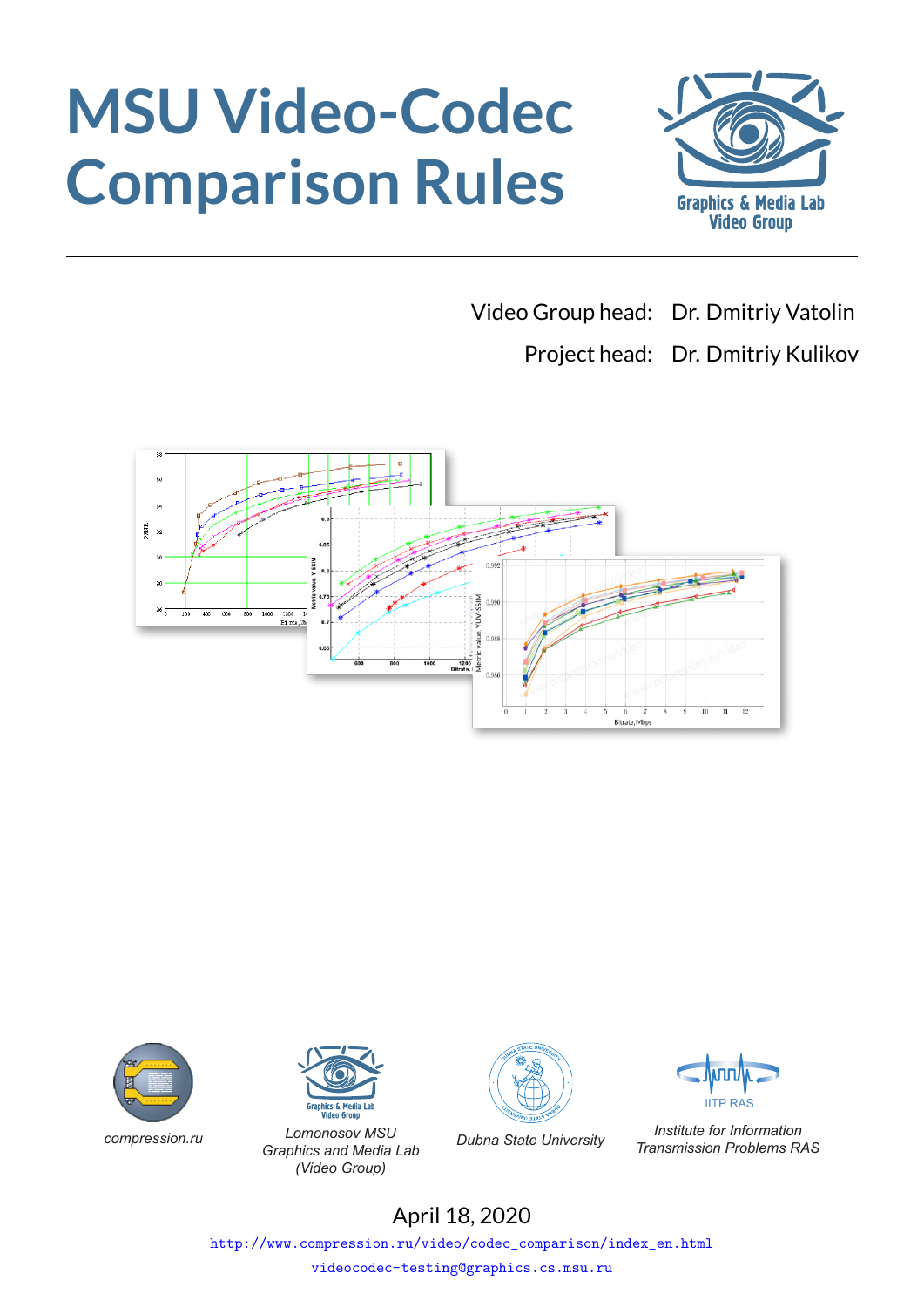# **MSU Video-Codec Comparison Rules**



Video Group head: Dr. Dmitriy Vatolin

Project head: Dr. Dmitriy Kulikov







*compression.ru Lomonosov MSU Graphics and Media Lab (Video Group)*





*Dubna State University Institute for Information Transmission Problems RAS*

# April 18, 2020

http://www.compression.ru/video/codec\_comparison/index\_en.html

videocodec-testing@graphics.cs.msu.ru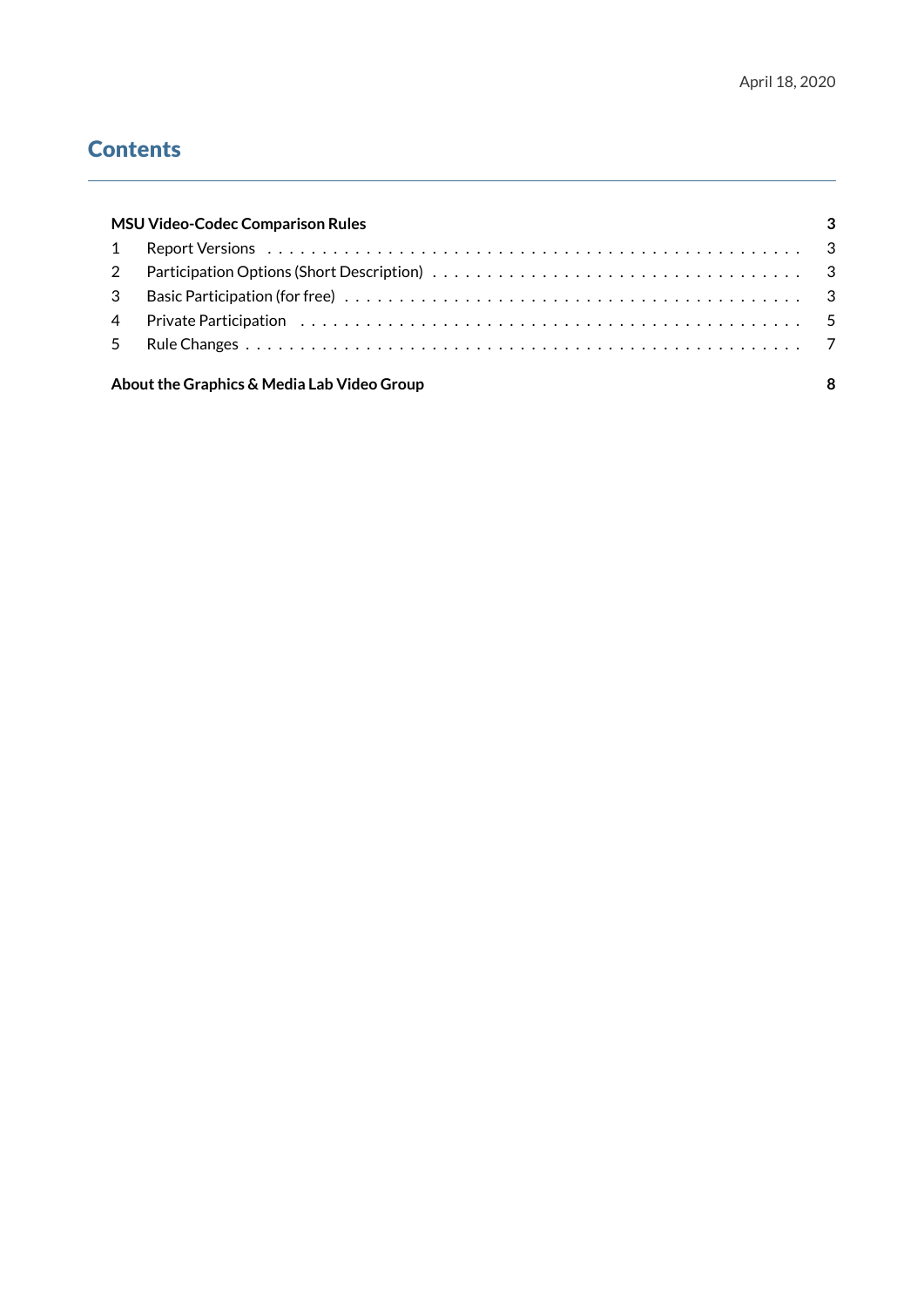# **Contents**

|                | <b>MSU Video-Codec Comparison Rules</b>    |  |
|----------------|--------------------------------------------|--|
|                |                                            |  |
|                |                                            |  |
| $\mathcal{S}$  |                                            |  |
| $\overline{4}$ |                                            |  |
| 5              |                                            |  |
|                | About the Graphics & Media Lab Video Group |  |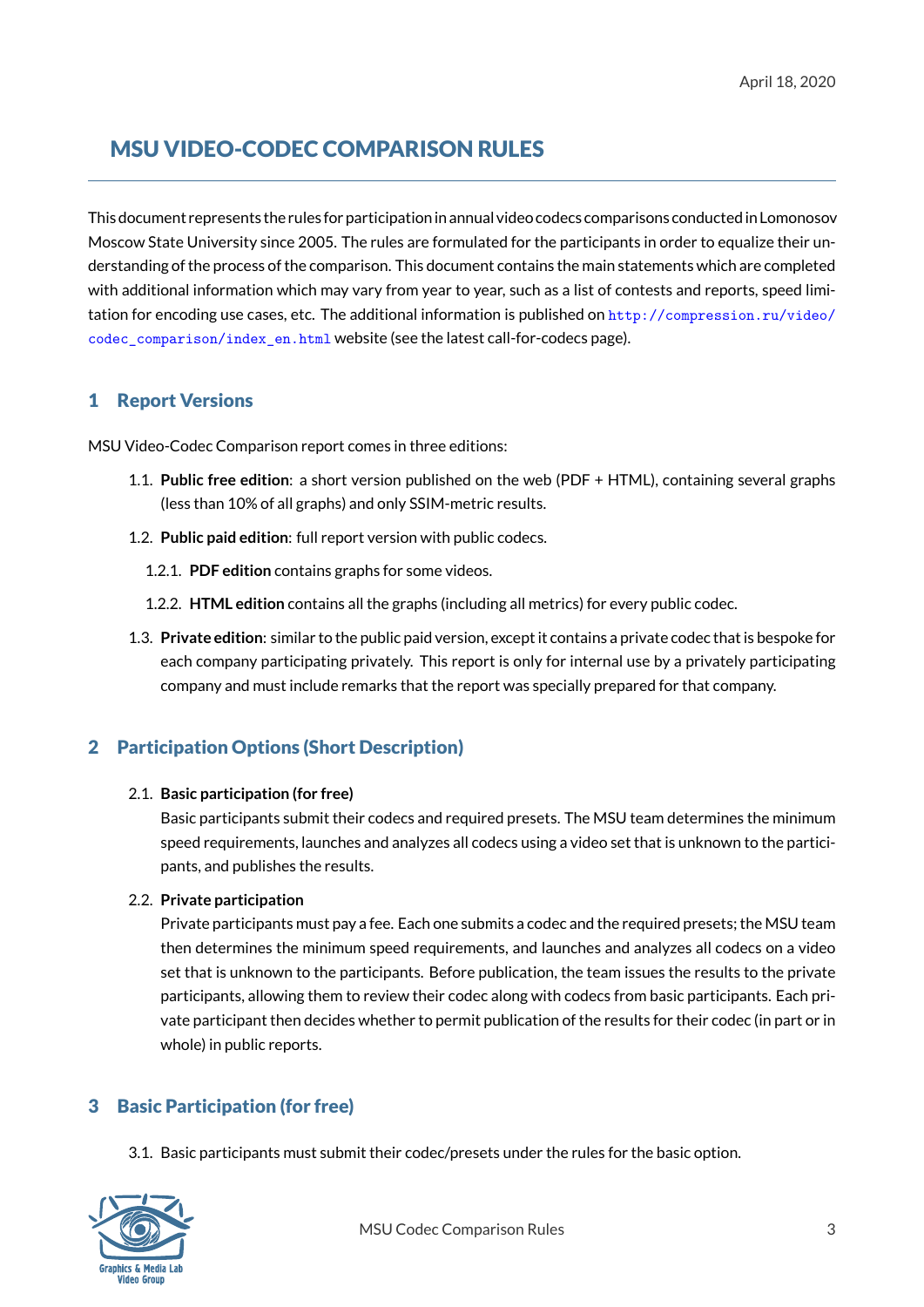# MSU VIDEO-CODEC COMPARISON RULES

<span id="page-2-0"></span>This document represents the rules for participation in annual video codecs comparisons conducted in Lomonosov Moscow State University since 2005. The rules are formulated for the participants in order to equalize their understanding of the process of the comparison. This document contains the main statements which are completed with additional information which may vary from year to year, such as a list of contests and reports, speed limitation for encoding use cases, etc. The additional information is published on http://compression.ru/video/ codec\_comparison/index\_en.html website (see the latest call-for-codecs page).

## 1 [Report Versions](http://compression.ru/video/codec_comparison/index_en.html)

<span id="page-2-1"></span>MSU Video-Codec Comparison report comes in three editions:

- 1.1. **Public free edition**: a short version published on the web (PDF + HTML), containing several graphs (less than 10% of all graphs) and only SSIM-metric results.
- 1.2. **Public paid edition**: full report version with public codecs.
	- 1.2.1. **PDF edition** contains graphs for some videos.
	- 1.2.2. **HTML edition** contains all the graphs (including all metrics) for every public codec.
- 1.3. **Private edition**: similar to the public paid version, except it contains a private codec that is bespoke for each company participating privately. This report is only for internal use by a privately participating company and must include remarks that the report was specially prepared for that company.

## <span id="page-2-4"></span><span id="page-2-2"></span>2 Participation Options (Short Description)

#### 2.1. **Basic participation (for free)**

Basic participants submit their codecs and required presets. The MSU team determines the minimum speed requirements, launches and analyzes all codecs using a video set that is unknown to the participants, and publishes the results.

#### 2.2. **Private participation**

Private participants must pay a fee. Each one submits a codec and the required presets; the MSU team then determines the minimum speed requirements, and launches and analyzes all codecs on a video set that is unknown to the participants. Before publication, the team issues the results to the private participants, allowing them to review their codec along with codecs from basic participants. Each private participant then decides whether to permit publication of the results for their codec (in part or in whole) in public reports.

## <span id="page-2-3"></span>3 Basic Participation (for free)

3.1. Basic participants must submit their codec/presets under the rules for the basic option.

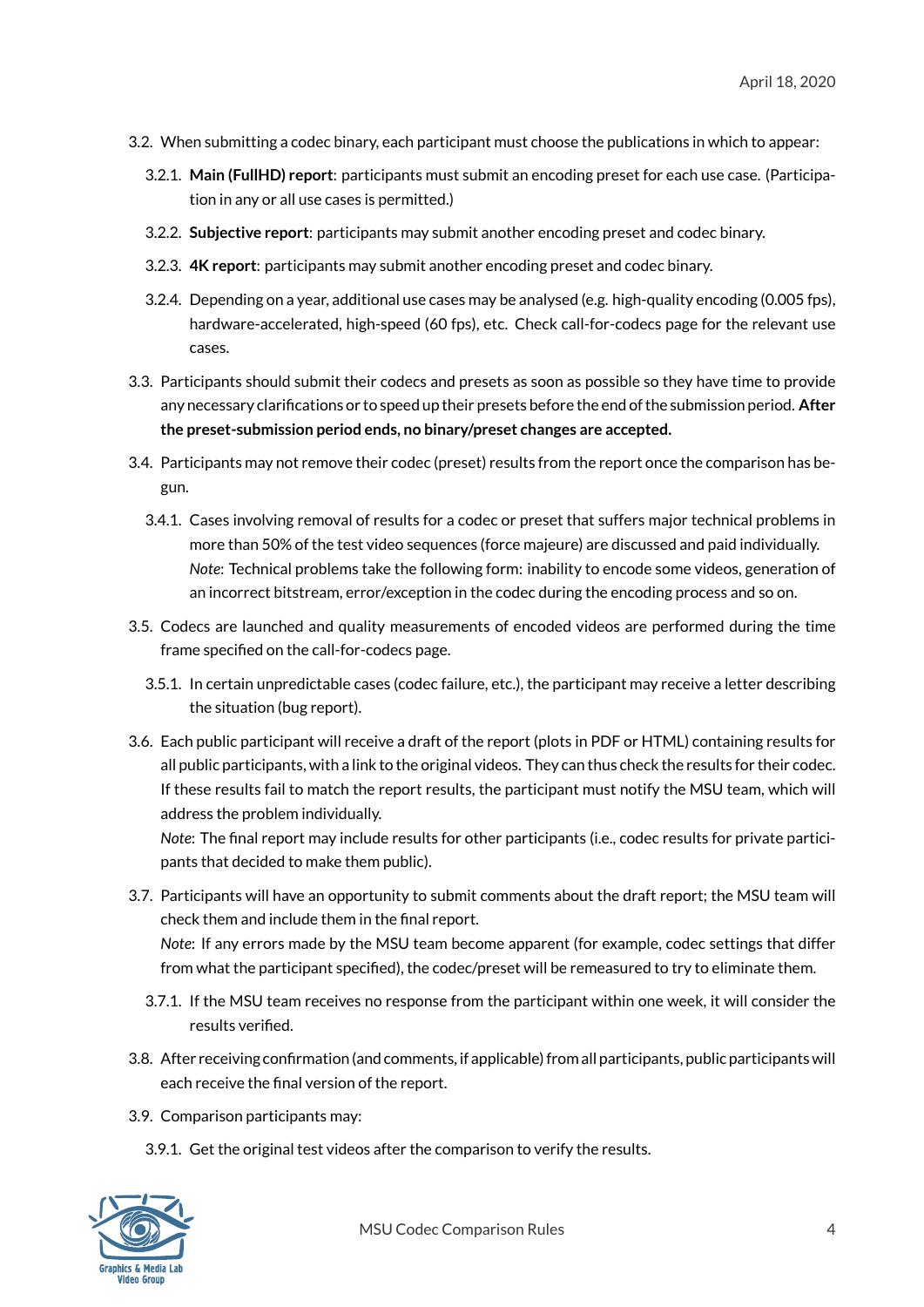- 3.2. When submitting a codec binary, each participant must choose the publications in which to appear:
	- 3.2.1. **Main (FullHD) report**: participants must submit an encoding preset for each use case. (Participation in any or all use cases is permitted.)
	- 3.2.2. **Subjective report**: participants may submit another encoding preset and codec binary.
	- 3.2.3. **4K report**: participants may submit another encoding preset and codec binary.
	- 3.2.4. Depending on a year, additional use cases may be analysed (e.g. high-quality encoding (0.005 fps), hardware-accelerated, high-speed (60 fps), etc. Check call-for-codecs page for the relevant use cases.
- 3.3. Participants should submit their codecs and presets as soon as possible so they have time to provide any necessary clarifications or to speed up their presets before the end of the submission period. After **the preset-submission period ends, no binary/preset changes are accepted.**
- <span id="page-3-0"></span>3.4. Participants may not remove their codec (preset) results from the report once the comparison has begun.
	- 3.4.1. Cases involving removal of results for a codec or preset that suffers major technical problems in more than 50% of the test video sequences (force majeure) are discussed and paid individually. *Note*: Technical problems take the following form: inability to encode some videos, generation of an incorrect bitstream, error/exception in the codec during the encoding process and so on.
- 3.5. Codecs are launched and quality measurements of encoded videos are performed during the time frame specified on the call-for-codecs page.
	- 3.5.1. In certain unpredictable cases (codec failure, etc.), the participant may receive a letter describing the situation (bug report).
- 3.6. Each public participant will receive a draft of the report (plots in PDF or HTML) containing results for all public participants, with a link to the original videos. They can thus check the results for their codec. If these results fail to match the report results, the participant must notify the MSU team, which will address the problem individually.

*Note*: The final report may include results for other participants (i.e., codec results for private participants that decided to make them public).

3.7. Participants will have an opportunity to submit comments about the draft report; the MSU team will check them and include them in the final report.

*Note*: If any errors made by the MSU team become apparent (for example, codec settings that differ from what the participant specified), the codec/preset will be remeasured to try to eliminate them.

- 3.7.1. If the MSU team receives no response from the participant within one week, it will consider the results verified.
- 3.8. After receiving confirmation (and comments, if applicable) from all participants, public participants will each receive the final version of the report.
- 3.9. Comparison participants may:
	- 3.9.1. Get the original test videos after the comparison to verify the results.

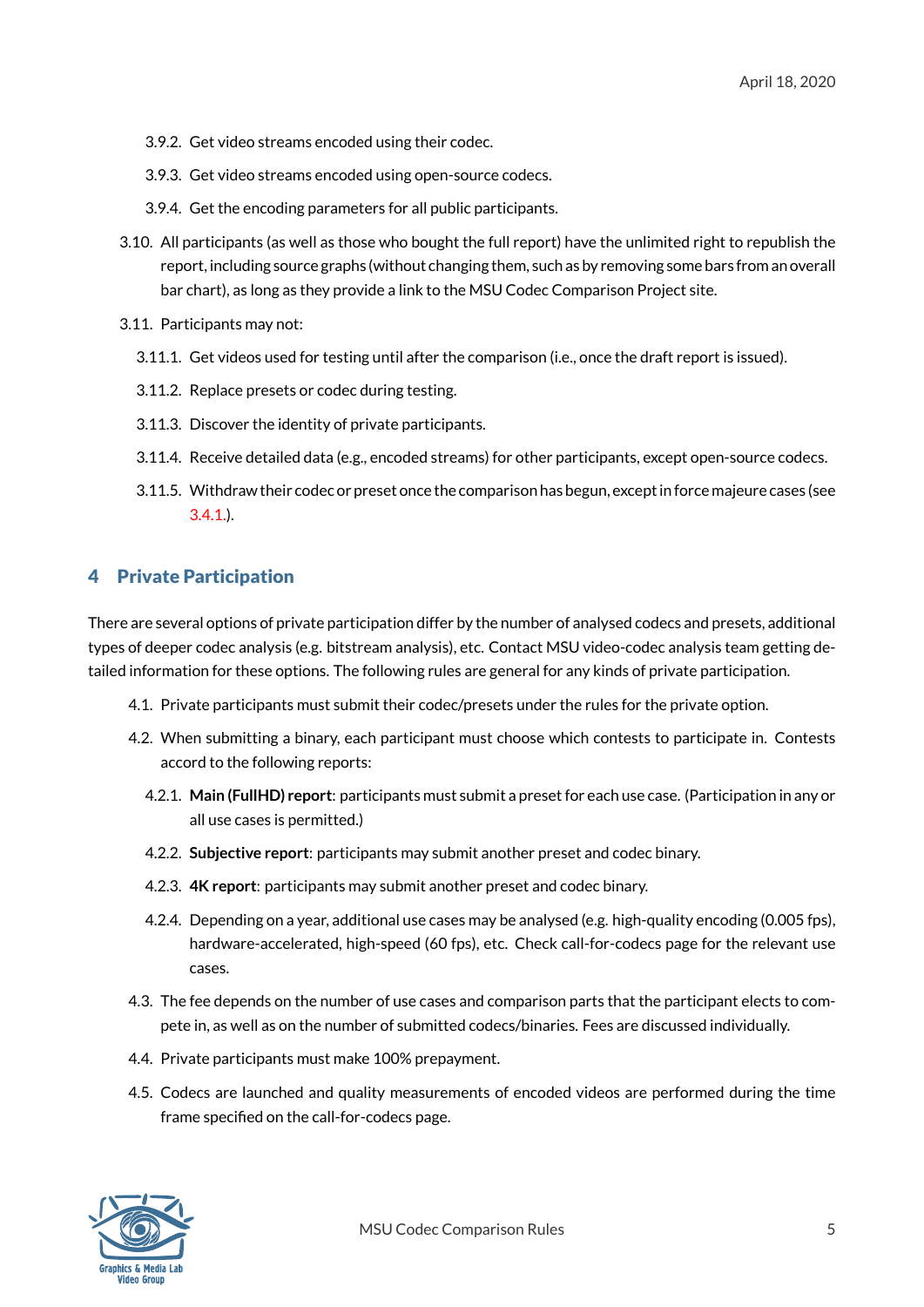- 3.9.2. Get video streams encoded using their codec.
- 3.9.3. Get video streams encoded using open-source codecs.
- 3.9.4. Get the encoding parameters for all public participants.
- 3.10. All participants (as well as those who bought the full report) have the unlimited right to republish the report, including source graphs (without changing them, such as by removing some bars from an overall bar chart), as long as they provide a link to the MSU Codec Comparison Project site.
- 3.11. Participants may not:
	- 3.11.1. Get videos used for testing until after the comparison (i.e., once the draft report is issued).
	- 3.11.2. Replace presets or codec during testing.
	- 3.11.3. Discover the identity of private participants.
	- 3.11.4. Receive detailed data (e.g., encoded streams) for other participants, except open-source codecs.
	- 3.11.5. Withdraw their codec or preset once the comparison has begun, except in force majeure cases (see 3.4.1.).

## 4 Private [Partic](#page-3-0)ipation

<span id="page-4-0"></span>There are several options of private participation differ by the number of analysed codecs and presets, additional types of deeper codec analysis (e.g. bitstream analysis), etc. Contact MSU video-codec analysis team getting detailed information for these options. The following rules are general for any kinds of private participation.

- 4.1. Private participants must submit their codec/presets under the rules for the private option.
- 4.2. When submitting a binary, each participant must choose which contests to participate in. Contests accord to the following reports:
	- 4.2.1. **Main (FullHD) report**: participants must submit a preset for each use case. (Participation in any or all use cases is permitted.)
	- 4.2.2. **Subjective report**: participants may submit another preset and codec binary.
	- 4.2.3. **4K report**: participants may submit another preset and codec binary.
	- 4.2.4. Depending on a year, additional use cases may be analysed (e.g. high-quality encoding (0.005 fps), hardware-accelerated, high-speed (60 fps), etc. Check call-for-codecs page for the relevant use cases.
- 4.3. The fee depends on the number of use cases and comparison parts that the participant elects to compete in, as well as on the number of submitted codecs/binaries. Fees are discussed individually.
- 4.4. Private participants must make 100% prepayment.
- 4.5. Codecs are launched and quality measurements of encoded videos are performed during the time frame specified on the call-for-codecs page.

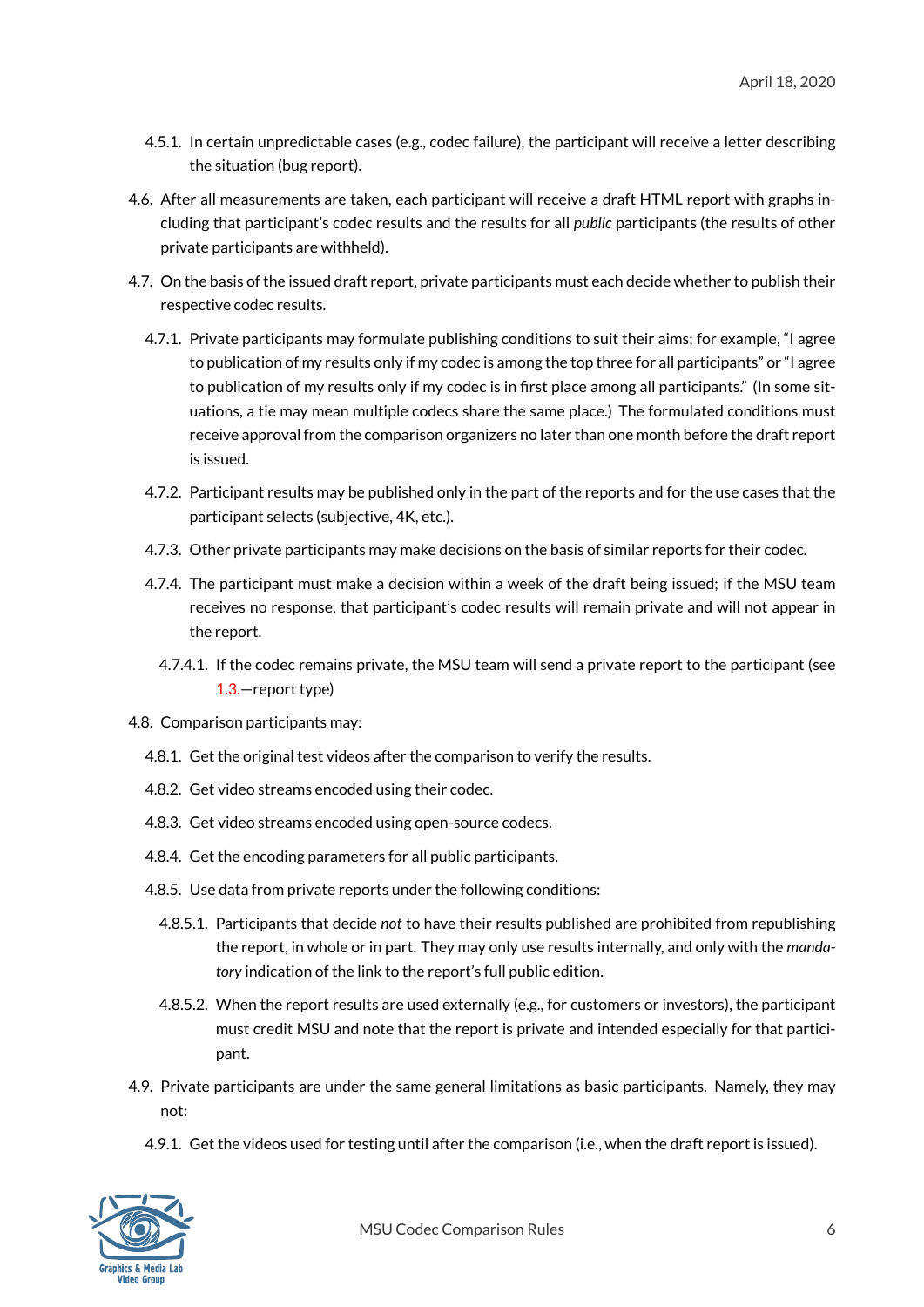- 4.5.1. In certain unpredictable cases (e.g., codec failure), the participant will receive a letter describing the situation (bug report).
- 4.6. After all measurements are taken, each participant will receive a draft HTML report with graphs including that participant's codec results and the results for all *public* participants (the results of other private participants are withheld).
- 4.7. On the basis of the issued draft report, private participants must each decide whether to publish their respective codec results.
	- 4.7.1. Private participants may formulate publishing conditions to suit their aims; for example, "I agree to publication of my results only if my codec is among the top three for all participants" or "I agree to publication of my results only if my codec is in first place among all participants." (In some situations, a tie may mean multiple codecs share the same place.) The formulated conditions must receive approval from the comparison organizers no later than one month before the draft report is issued.
	- 4.7.2. Participant results may be published only in the part of the reports and for the use cases that the participant selects (subjective, 4K, etc.).
	- 4.7.3. Other private participants may make decisions on the basis of similar reports for their codec.
	- 4.7.4. The participant must make a decision within a week of the draft being issued; if the MSU team receives no response, that participant's codec results will remain private and will not appear in the report.
		- 4.7.4.1. If the codec remains private, the MSU team will send a private report to the participant (see 1.3.—report type)
- 4.8. Comparison participants may:
	- 4.8.1. Get [the](#page-2-4) original test videos after the comparison to verify the results.
	- 4.8.2. Get video streams encoded using their codec.
	- 4.8.3. Get video streams encoded using open-source codecs.
	- 4.8.4. Get the encoding parameters for all public participants.
	- 4.8.5. Use data from private reports under the following conditions:
		- 4.8.5.1. Participants that decide *not* to have their results published are prohibited from republishing the report, in whole or in part. They may only use results internally, and only with the *mandatory* indication of the link to the report's full public edition.
		- 4.8.5.2. When the report results are used externally (e.g., for customers or investors), the participant must credit MSU and note that the report is private and intended especially for that participant.
- 4.9. Private participants are under the same general limitations as basic participants. Namely, they may not:
	- 4.9.1. Get the videos used for testing until after the comparison (i.e., when the draft report is issued).

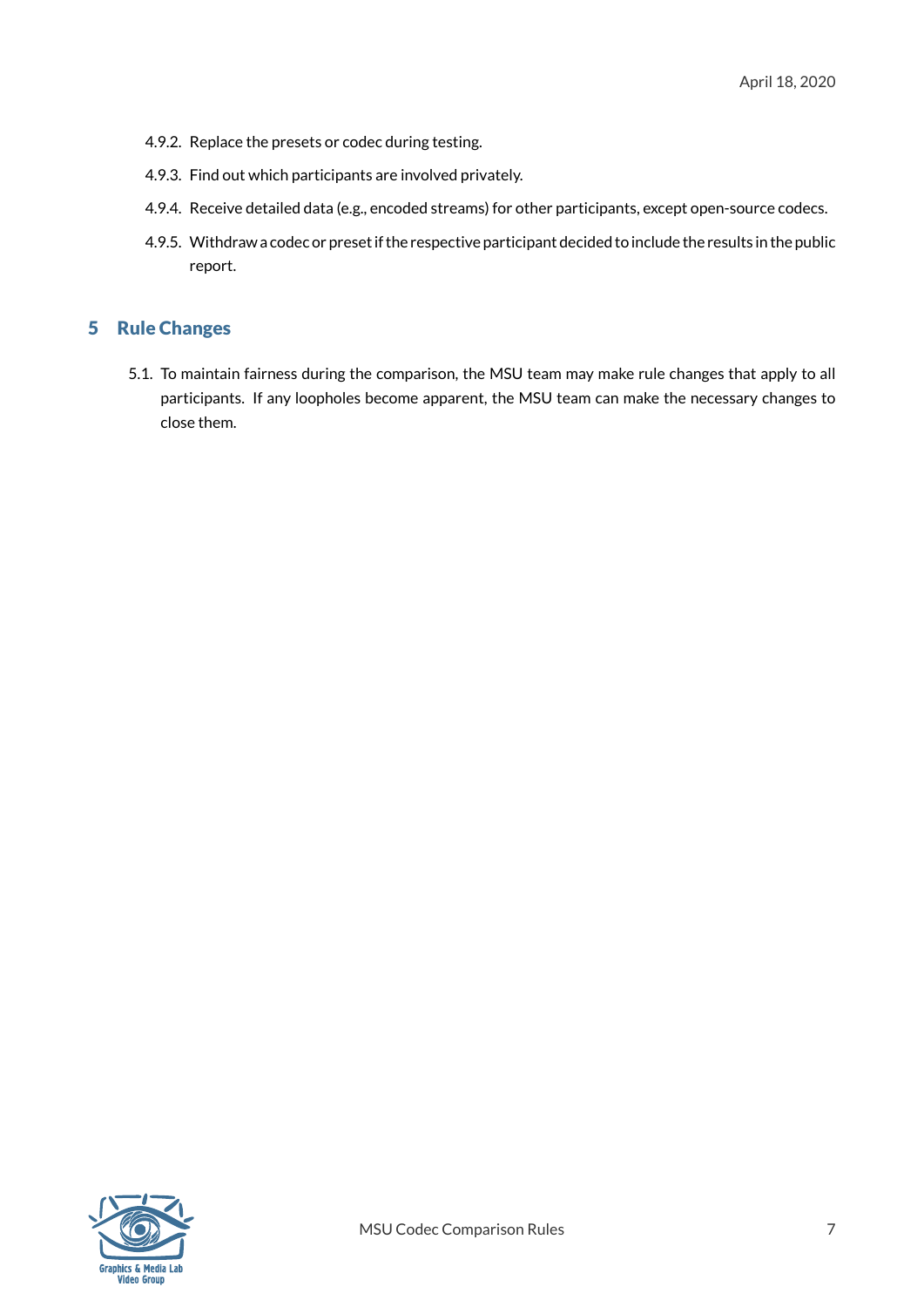- 4.9.2. Replace the presets or codec during testing.
- 4.9.3. Find out which participants are involved privately.
- 4.9.4. Receive detailed data (e.g., encoded streams) for other participants, except open-source codecs.
- 4.9.5. Withdraw a codec or preset if the respective participant decided to include the results in the public report.

### 5 Rule Changes

5.1. To maintain fairness during the comparison, the MSU team may make rule changes that apply to all participants. If any loopholes become apparent, the MSU team can make the necessary changes to close them.